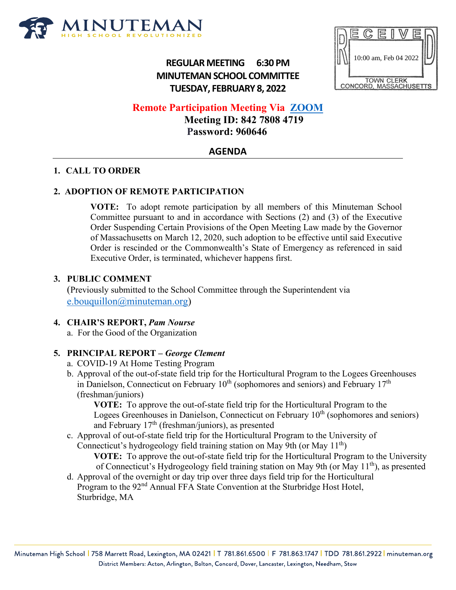

# **REGULAR MEETING 6:30 PM MINUTEMAN SCHOOL COMMITTEE TUESDAY, FEBRUARY 8, 2022**



**Remote Participation Meeting Via [ZOOM](https://us06web.zoom.us/j/84278084719?pwd=bVVDcU5MbS81ZXBubzhpMFNuRkVyQT09)**

 **Meeting ID: 842 7808 4719 Password: 960646**

# **AGENDA**

## **1. CALL TO ORDER**

## **2. ADOPTION OF REMOTE PARTICIPATION**

**VOTE:** To adopt remote participation by all members of this Minuteman School Committee pursuant to and in accordance with Sections (2) and (3) of the Executive Order Suspending Certain Provisions of the Open Meeting Law made by the Governor of Massachusetts on March 12, 2020, such adoption to be effective until said Executive Order is rescinded or the Commonwealth's State of Emergency as referenced in said Executive Order, is terminated, whichever happens first.

#### **3. PUBLIC COMMENT**

(Previously submitted to the School Committee through the Superintendent via [e.bouquillon@minuteman.org\)](mailto:e.bouquillon@minuteman.org)

## **4. CHAIR'S REPORT,** *Pam Nourse*

a. For the Good of the Organization

## **5. PRINCIPAL REPORT –** *George Clement*

- a. COVID-19 At Home Testing Program
- b. Approval of the out-of-state field trip for the Horticultural Program to the Logees Greenhouses in Danielson, Connecticut on February  $10^{th}$  (sophomores and seniors) and February  $17^{th}$ (freshman/juniors)

**VOTE:** To approve the out-of-state field trip for the Horticultural Program to the Logees Greenhouses in Danielson, Connecticut on February  $10<sup>th</sup>$  (sophomores and seniors) and February 17th (freshman/juniors), as presented

c. Approval of out-of-state field trip for the Horticultural Program to the University of Connecticut's hydrogeology field training station on May 9th (or May  $11<sup>th</sup>$ )

**VOTE:** To approve the out-of-state field trip for the Horticultural Program to the University of Connecticut's Hydrogeology field training station on May 9th (or May 11th), as presented

d. Approval of the overnight or day trip over three days field trip for the Horticultural Program to the 92<sup>nd</sup> Annual FFA State Convention at the Sturbridge Host Hotel, Sturbridge, MA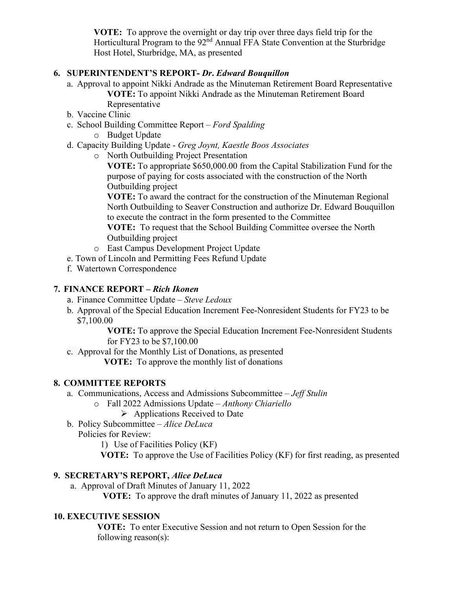**VOTE:** To approve the overnight or day trip over three days field trip for the Horticultural Program to the 92<sup>nd</sup> Annual FFA State Convention at the Sturbridge Host Hotel, Sturbridge, MA, as presented

## **6. SUPERINTENDENT'S REPORT-** *Dr***.** *Edward Bouquillon*

- a. Approval to appoint Nikki Andrade as the Minuteman Retirement Board Representative **VOTE:** To appoint Nikki Andrade as the Minuteman Retirement Board Representative
- b. Vaccine Clinic
- c. School Building Committee Report *Ford Spalding*
	- o Budget Update
- d. Capacity Building Update *Greg Joynt, Kaestle Boos Associates*
	- o North Outbuilding Project Presentation

**VOTE:** To appropriate \$650,000.00 from the Capital Stabilization Fund for the purpose of paying for costs associated with the construction of the North Outbuilding project

**VOTE:** To award the contract for the construction of the Minuteman Regional North Outbuilding to Seaver Construction and authorize Dr. Edward Bouquillon to execute the contract in the form presented to the Committee

**VOTE:** To request that the School Building Committee oversee the North Outbuilding project

- o East Campus Development Project Update
- e. Town of Lincoln and Permitting Fees Refund Update
- f. Watertown Correspondence

## **7. FINANCE REPORT** *– Rich Ikonen*

- a. Finance Committee Update *Steve Ledoux*
- b. Approval of the Special Education Increment Fee-Nonresident Students for FY23 to be \$7,100.00

**VOTE:** To approve the Special Education Increment Fee-Nonresident Students for FY23 to be \$7,100.00

c. Approval for the Monthly List of Donations, as presented

**VOTE:** To approve the monthly list of donations

## **8. COMMITTEE REPORTS**

- a. Communications, Access and Admissions Subcommittee *Jeff Stulin*
	- o Fall 2022 Admissions Update *Anthony Chiariello*
		- $\triangleright$  Applications Received to Date
- b. Policy Subcommittee *Alice DeLuca*

Policies for Review:

- 1) Use of Facilities Policy (KF)
- **VOTE:** To approve the Use of Facilities Policy (KF) for first reading, as presented

## **9. SECRETARY'S REPORT,** *Alice DeLuca*

a. Approval of Draft Minutes of January 11, 2022

**VOTE:** To approve the draft minutes of January 11, 2022 as presented

## **10. EXECUTIVE SESSION**

**VOTE:** To enter Executive Session and not return to Open Session for the following reason(s):